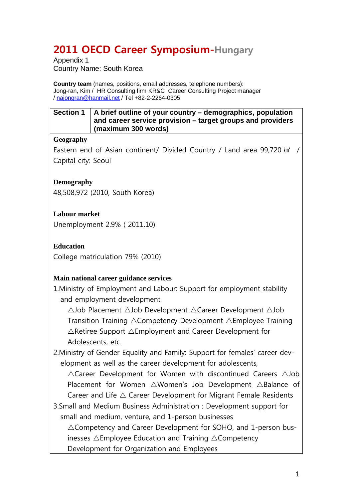# **2011 OECD Career Symposium-Hungary**

Appendix 1 Country Name: South Korea

**Country team** (names, positions, email addresses, telephone numbers): Jong-ran, Kim / HR Consulting firm KR&C Career Consulting Project manager / [najongran@hanmail.net](mailto:najongran@hanmail.net) / Tel +82-2-2264-0305

| Section 1   A brief outline of your country – demographics, population |
|------------------------------------------------------------------------|
| and career service provision - target groups and providers             |
| $\frac{1}{2}$ (maximum 300 words)                                      |

## **Geography**

Eastern end of Asian continent/ Divided Country / Land area 99,720 km<sup>2</sup> / Capital city: Seoul

## **Demography**

48,508,972 (2010, South Korea)

**Labour market** 

Unemployment 2.9% ( 2011.10)

**Education** 

College matriculation 79% (2010)

# **Main national career guidance services**

1.Ministry of Employment and Labour: Support for employment stability and employment development

 $\triangle$ Job Placement  $\triangle$ Job Development  $\triangle$ Career Development  $\triangle$ Job Transition Training  $\triangle$ Competency Development  $\triangle$ Employee Training  $\triangle$ Retiree Support  $\triangle$ Employment and Career Development for Adolescents, etc.

2.Ministry of Gender Equality and Family: Support for females' career development as well as the career development for adolescents,

 $\triangle$ Career Development for Women with discontinued Careers  $\triangle$ Job Placement for Women  $\triangle W$ omen's Job Development  $\triangle$ Balance of Career and Life  $\triangle$  Career Development for Migrant Female Residents

3.Small and Medium Business Administration : Development support for small and medium, venture, and 1-person businesses

 $\triangle$ Competency and Career Development for SOHO, and 1-person businesses  $\triangle$ Employee Education and Training  $\triangle$ Competency Development for Organization and Employees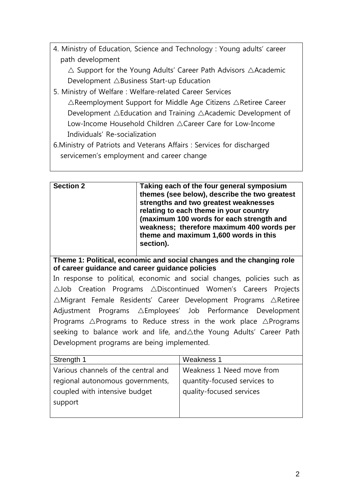| 4. Ministry of Education, Science and Technology: Young adults' career |  |  |  |
|------------------------------------------------------------------------|--|--|--|
| path development                                                       |  |  |  |

 $\triangle$  Support for the Young Adults' Career Path Advisors  $\triangle$ Academic Development  $\triangle$ Business Start-up Education

- 5. Ministry of Welfare : Welfare-related Career Services  $\triangle$ Reemployment Support for Middle Age Citizens  $\triangle$ Retiree Career Development  $\triangle$ Education and Training  $\triangle$ Academic Development of Low-Income Household Children ACareer Care for Low-Income Individuals' Re-socialization
- 6.Ministry of Patriots and Veterans Affairs : Services for discharged servicemen's employment and career change

| <b>Section 2</b>                                                                                                         | section). | Taking each of the four general symposium<br>themes (see below), describe the two greatest<br>strengths and two greatest weaknesses<br>relating to each theme in your country<br>(maximum 100 words for each strength and<br>weakness; therefore maximum 400 words per<br>theme and maximum 1,600 words in this |  |  |  |
|--------------------------------------------------------------------------------------------------------------------------|-----------|-----------------------------------------------------------------------------------------------------------------------------------------------------------------------------------------------------------------------------------------------------------------------------------------------------------------|--|--|--|
| Theme 1: Political, economic and social changes and the changing role<br>of career guidance and career guidance policies |           |                                                                                                                                                                                                                                                                                                                 |  |  |  |
|                                                                                                                          |           | In response to political, economic and social changes, policies such as                                                                                                                                                                                                                                         |  |  |  |
| $\triangle$ Job Creation Programs $\triangle$ Discontinued Women's Careers Projects                                      |           |                                                                                                                                                                                                                                                                                                                 |  |  |  |
| $\triangle$ Migrant Female Residents' Career Development Programs $\triangle$ Retiree                                    |           |                                                                                                                                                                                                                                                                                                                 |  |  |  |
| Adjustment Programs △Employees' Job Performance Development                                                              |           |                                                                                                                                                                                                                                                                                                                 |  |  |  |
| Programs $\triangle$ Programs to Reduce stress in the work place $\triangle$ Programs                                    |           |                                                                                                                                                                                                                                                                                                                 |  |  |  |
| seeking to balance work and life, and $\triangle$ the Young Adults' Career Path                                          |           |                                                                                                                                                                                                                                                                                                                 |  |  |  |
| Development programs are being implemented.                                                                              |           |                                                                                                                                                                                                                                                                                                                 |  |  |  |
| Strength 1                                                                                                               |           | Weakness 1                                                                                                                                                                                                                                                                                                      |  |  |  |
| Various channels of the central and                                                                                      |           | Weakness 1 Need move from                                                                                                                                                                                                                                                                                       |  |  |  |
| regional autonomous governments,                                                                                         |           | quantity-focused services to                                                                                                                                                                                                                                                                                    |  |  |  |
| coupled with intensive budget                                                                                            |           | quality-focused services                                                                                                                                                                                                                                                                                        |  |  |  |
| support                                                                                                                  |           |                                                                                                                                                                                                                                                                                                                 |  |  |  |
|                                                                                                                          |           |                                                                                                                                                                                                                                                                                                                 |  |  |  |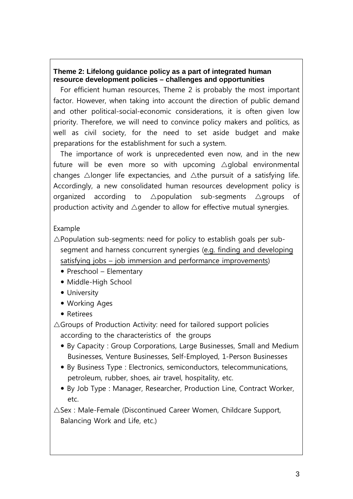# **Theme 2: Lifelong guidance policy as a part of integrated human resource development policies – challenges and opportunities**

For efficient human resources, Theme 2 is probably the most important factor. However, when taking into account the direction of public demand and other political-social-economic considerations, it is often given low priority. Therefore, we will need to convince policy makers and politics, as well as civil society, for the need to set aside budget and make preparations for the establishment for such a system.

The importance of work is unprecedented even now, and in the new future will be even more so with upcoming  $\triangle$ global environmental changes  $\triangle$ longer life expectancies, and  $\triangle$ the pursuit of a satisfying life. Accordingly, a new consolidated human resources development policy is organized according to  $\triangle$ population sub-segments  $\triangle$ groups of production activity and  $\triangle$  gender to allow for effective mutual synergies.

# Example

- $\triangle$ Population sub-segments: need for policy to establish goals per subsegment and harness concurrent synergies (e.g. finding and developing satisfying jobs – job immersion and performance improvements)
	- Preschool Elementary
	- Middle-High School
	- University
	- Working Ages
	- Retirees

 $\triangle$ Groups of Production Activity: need for tailored support policies according to the characteristics of the groups

- By Capacity : Group Corporations, Large Businesses, Small and Medium Businesses, Venture Businesses, Self-Employed, 1-Person Businesses
- By Business Type : Electronics, semiconductors, telecommunications, petroleum, rubber, shoes, air travel, hospitality, etc.
- By Job Type : Manager, Researcher, Production Line, Contract Worker, etc.

 $\triangle$ Sex : Male-Female (Discontinued Career Women, Childcare Support, Balancing Work and Life, etc.)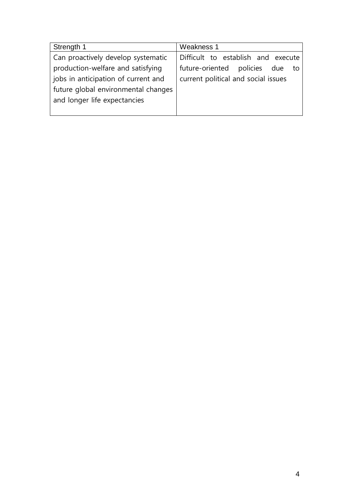| Strength 1                          | Weakness 1                          |
|-------------------------------------|-------------------------------------|
| Can proactively develop systematic  | Difficult to establish and execute  |
| production-welfare and satisfying   | future-oriented policies due<br>to  |
| jobs in anticipation of current and | current political and social issues |
| future global environmental changes |                                     |
| and longer life expectancies        |                                     |
|                                     |                                     |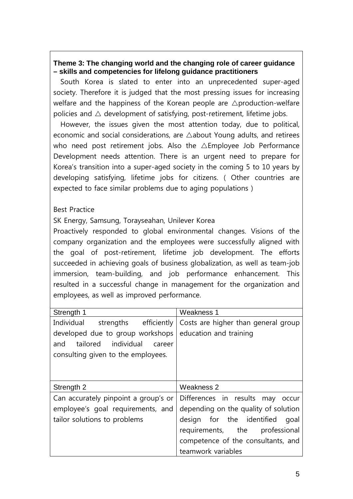## **Theme 3: The changing world and the changing role of career guidance – skills and competencies for lifelong guidance practitioners**

South Korea is slated to enter into an unprecedented super-aged society. Therefore it is judged that the most pressing issues for increasing welfare and the happiness of the Korean people are  $\triangle$  production-welfare policies and  $\triangle$  development of satisfying, post-retirement, lifetime jobs.

However, the issues given the most attention today, due to political, economic and social considerations, are  $\triangle$ about Young adults, and retirees who need post retirement jobs. Also the  $\triangle$ Employee Job Performance Development needs attention. There is an urgent need to prepare for Korea's transition into a super-aged society in the coming 5 to 10 years by developing satisfying, lifetime jobs for citizens. ( Other countries are expected to face similar problems due to aging populations )

## Best Practice

SK Energy, Samsung, Torayseahan, Unilever Korea

Proactively responded to global environmental changes. Visions of the company organization and the employees were successfully aligned with the goal of post-retirement, lifetime job development. The efforts succeeded in achieving goals of business globalization, as well as team-job immersion, team-building, and job performance enhancement. This resulted in a successful change in management for the organization and employees, as well as improved performance.

| Strength 1                                                                                                     | Weakness 1                                                             |
|----------------------------------------------------------------------------------------------------------------|------------------------------------------------------------------------|
| Individual<br>strengths efficiently                                                                            | Costs are higher than general group                                    |
| developed due to group workshops<br>tailored individual<br>and<br>career<br>consulting given to the employees. | education and training                                                 |
| Strength 2                                                                                                     | Weakness 2                                                             |
| Can accurately pinpoint a group's or                                                                           | Differences in results may occur                                       |
| employee's goal requirements, and                                                                              | depending on the quality of solution                                   |
| tailor solutions to problems                                                                                   | design for the identified<br>goal<br>requirements, the<br>professional |
|                                                                                                                | competence of the consultants, and                                     |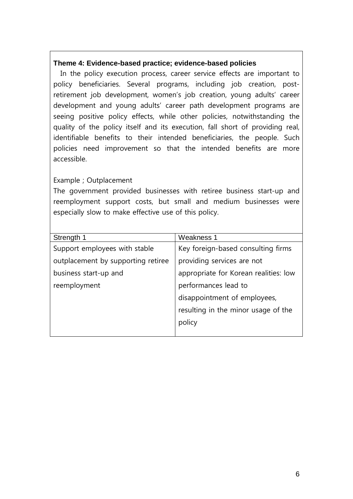#### **Theme 4: Evidence-based practice; evidence-based policies**

In the policy execution process, career service effects are important to policy beneficiaries. Several programs, including job creation, postretirement job development, women's job creation, young adults' career development and young adults' career path development programs are seeing positive policy effects, while other policies, notwithstanding the quality of the policy itself and its execution, fall short of providing real, identifiable benefits to their intended beneficiaries, the people. Such policies need improvement so that the intended benefits are more accessible.

## Example ; Outplacement

The government provided businesses with retiree business start-up and reemployment support costs, but small and medium businesses were especially slow to make effective use of this policy.

| Strength 1                         | <b>Weakness 1</b>                     |
|------------------------------------|---------------------------------------|
| Support employees with stable      | Key foreign-based consulting firms    |
| outplacement by supporting retiree | providing services are not            |
| business start-up and              | appropriate for Korean realities: low |
| reemployment                       | performances lead to                  |
|                                    | disappointment of employees,          |
|                                    | resulting in the minor usage of the   |
|                                    | policy                                |
|                                    |                                       |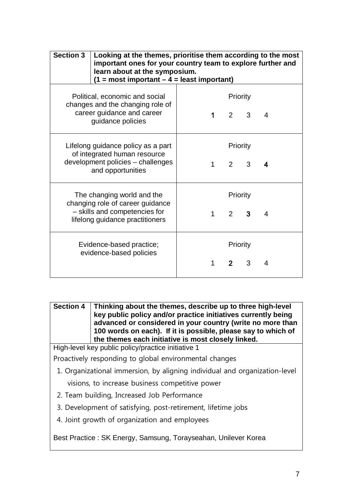| <b>Section 3</b> | Looking at the themes, prioritise them according to the most<br>important ones for your country team to explore further and<br>learn about at the symposium.<br>$(1 = most important - 4 = least important)$ |             |                            |   |   |
|------------------|--------------------------------------------------------------------------------------------------------------------------------------------------------------------------------------------------------------|-------------|----------------------------|---|---|
|                  | Political, economic and social<br>changes and the changing role of<br>career guidance and career<br>guidance policies                                                                                        | $\mathbf 1$ | Priority<br>$\mathcal{P}$  | 3 | 4 |
|                  | Lifelong guidance policy as a part<br>of integrated human resource<br>development policies - challenges<br>and opportunities                                                                                 | $1 \quad$   | Priority<br>$\overline{2}$ | 3 | 4 |
|                  | The changing world and the<br>changing role of career guidance<br>- skills and competencies for<br>lifelong guidance practitioners                                                                           | $\mathbf 1$ | Priority<br>$\overline{2}$ | 3 | 4 |
|                  | Evidence-based practice;<br>evidence-based policies                                                                                                                                                          | 1           | Priority<br>2 <sup>1</sup> | 3 | 4 |

**Section 4 Thinking about the themes, describe up to three high-level key public policy and/or practice initiatives currently being advanced or considered in your country (write no more than 100 words on each). If it is possible, please say to which of the themes each initiative is most closely linked.**

High-level key public policy/practice initiative 1

Proactively responding to global environmental changes

1. Organizational immersion, by aligning individual and organization-level

visions, to increase business competitive power

- 2. Team building, Increased Job Performance
- 3. Development of satisfying, post-retirement, lifetime jobs
- 4. Joint growth of organization and employees

Best Practice : SK Energy, Samsung, Torayseahan, Unilever Korea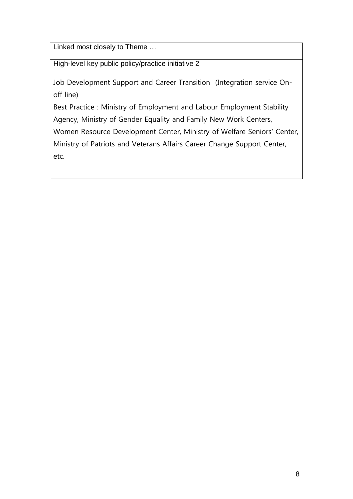Linked most closely to Theme …

High-level key public policy/practice initiative 2

Job Development Support and Career Transition (Integration service Onoff line)

Best Practice : Ministry of Employment and Labour Employment Stability Agency, Ministry of Gender Equality and Family New Work Centers, Women Resource Development Center, Ministry of Welfare Seniors' Center, Ministry of Patriots and Veterans Affairs Career Change Support Center, etc.